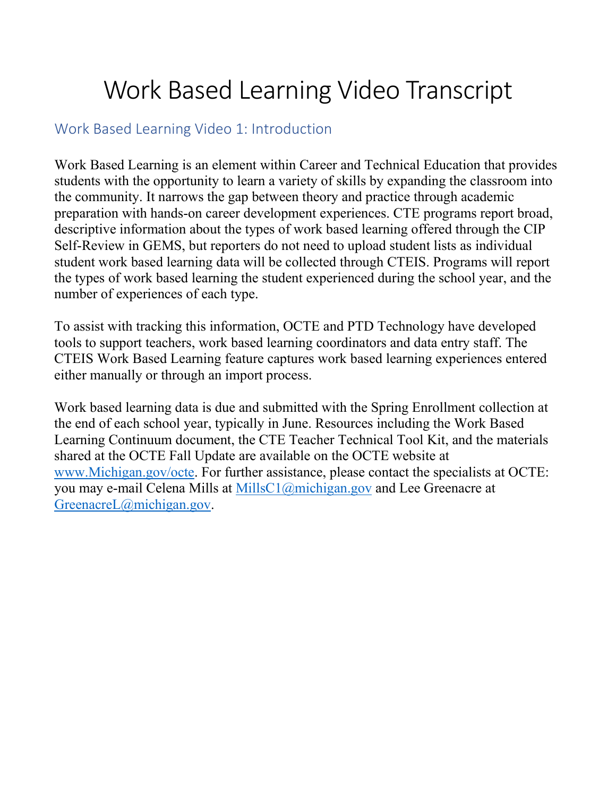# Work Based Learning Video Transcript

#### Work Based Learning Video 1: Introduction

Work Based Learning is an element within Career and Technical Education that provides students with the opportunity to learn a variety of skills by expanding the classroom into the community. It narrows the gap between theory and practice through academic preparation with hands-on career development experiences. CTE programs report broad, descriptive information about the types of work based learning offered through the CIP Self-Review in GEMS, but reporters do not need to upload student lists as individual student work based learning data will be collected through CTEIS. Programs will report the types of work based learning the student experienced during the school year, and the number of experiences of each type.

To assist with tracking this information, OCTE and PTD Technology have developed tools to support teachers, work based learning coordinators and data entry staff. The CTEIS Work Based Learning feature captures work based learning experiences entered either manually or through an import process.

Work based learning data is due and submitted with the Spring Enrollment collection at the end of each school year, typically in June. Resources including the Work Based Learning Continuum document, the CTE Teacher Technical Tool Kit, and the materials shared at the OCTE Fall Update are available on the OCTE website at [www.Michigan.gov/octe.](http://www.michigan.gov/octe) For further assistance, please contact the specialists at OCTE: you may e-mail Celena Mills at [MillsC1@michigan.gov](mailto:MillsC1@michigan.gov) and Lee Greenacre at [GreenacreL@michigan.gov.](mailto:GreenacreL@michigan.gov)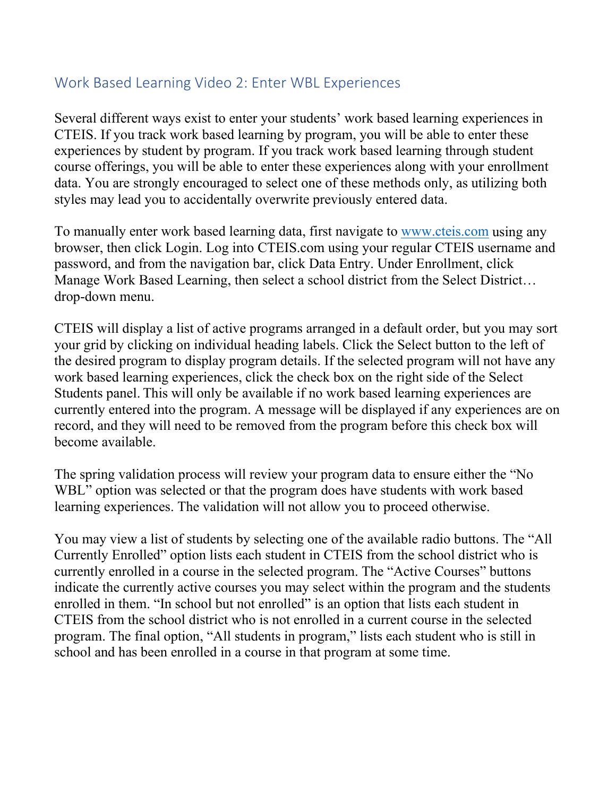# Work Based Learning Video 2: Enter WBL Experiences

Several different ways exist to enter your students' work based learning experiences in CTEIS. If you track work based learning by program, you will be able to enter these experiences by student by program. If you track work based learning through student course offerings, you will be able to enter these experiences along with your enrollment data. You are strongly encouraged to select one of these methods only, as utilizing both styles may lead you to accidentally overwrite previously entered data.

To manually enter work based learning data, first navigate to [www.cteis.com](http://www.cteis.com/) using any browser, then click Login. Log into CTEIS.com using your regular CTEIS username and password, and from the navigation bar, click Data Entry. Under Enrollment, click Manage Work Based Learning, then select a school district from the Select District… drop-down menu.

CTEIS will display a list of active programs arranged in a default order, but you may sort your grid by clicking on individual heading labels. Click the Select button to the left of the desired program to display program details. If the selected program will not have any work based learning experiences, click the check box on the right side of the Select Students panel. This will only be available if no work based learning experiences are currently entered into the program. A message will be displayed if any experiences are on record, and they will need to be removed from the program before this check box will become available.

The spring validation process will review your program data to ensure either the "No WBL" option was selected or that the program does have students with work based learning experiences. The validation will not allow you to proceed otherwise.

You may view a list of students by selecting one of the available radio buttons. The "All Currently Enrolled" option lists each student in CTEIS from the school district who is currently enrolled in a course in the selected program. The "Active Courses" buttons indicate the currently active courses you may select within the program and the students enrolled in them. "In school but not enrolled" is an option that lists each student in CTEIS from the school district who is not enrolled in a current course in the selected program. The final option, "All students in program," lists each student who is still in school and has been enrolled in a course in that program at some time.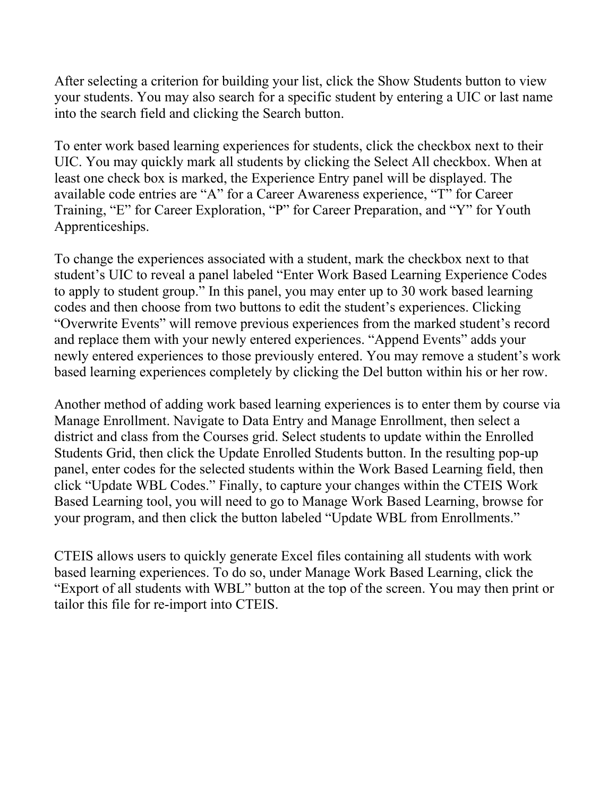After selecting a criterion for building your list, click the Show Students button to view your students. You may also search for a specific student by entering a UIC or last name into the search field and clicking the Search button.

To enter work based learning experiences for students, click the checkbox next to their UIC. You may quickly mark all students by clicking the Select All checkbox. When at least one check box is marked, the Experience Entry panel will be displayed. The available code entries are "A" for a Career Awareness experience, "T" for Career Training, "E" for Career Exploration, "P" for Career Preparation, and "Y" for Youth Apprenticeships.

To change the experiences associated with a student, mark the checkbox next to that student's UIC to reveal a panel labeled "Enter Work Based Learning Experience Codes to apply to student group." In this panel, you may enter up to 30 work based learning codes and then choose from two buttons to edit the student's experiences. Clicking "Overwrite Events" will remove previous experiences from the marked student's record and replace them with your newly entered experiences. "Append Events" adds your newly entered experiences to those previously entered. You may remove a student's work based learning experiences completely by clicking the Del button within his or her row.

Another method of adding work based learning experiences is to enter them by course via Manage Enrollment. Navigate to Data Entry and Manage Enrollment, then select a district and class from the Courses grid. Select students to update within the Enrolled Students Grid, then click the Update Enrolled Students button. In the resulting pop-up panel, enter codes for the selected students within the Work Based Learning field, then click "Update WBL Codes." Finally, to capture your changes within the CTEIS Work Based Learning tool, you will need to go to Manage Work Based Learning, browse for your program, and then click the button labeled "Update WBL from Enrollments."

CTEIS allows users to quickly generate Excel files containing all students with work based learning experiences. To do so, under Manage Work Based Learning, click the "Export of all students with WBL" button at the top of the screen. You may then print or tailor this file for re-import into CTEIS.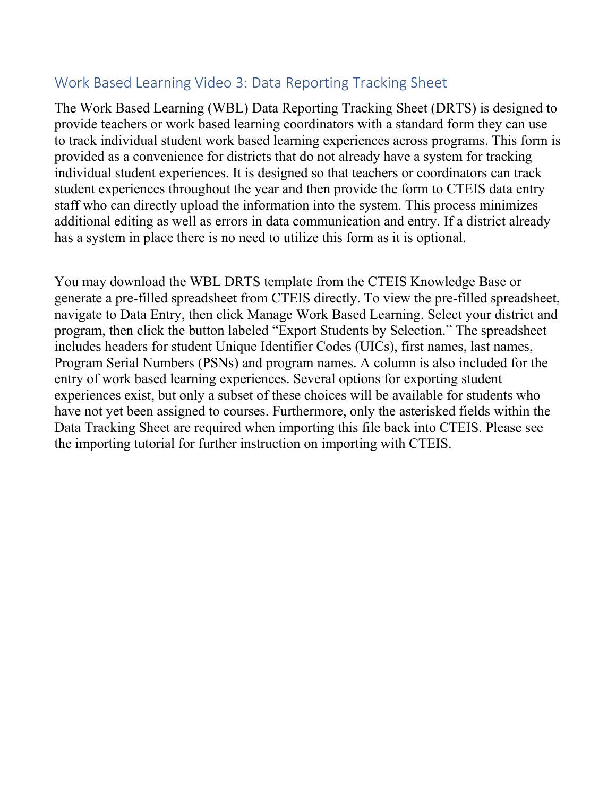# Work Based Learning Video 3: Data Reporting Tracking Sheet

The Work Based Learning (WBL) Data Reporting Tracking Sheet (DRTS) is designed to provide teachers or work based learning coordinators with a standard form they can use to track individual student work based learning experiences across programs. This form is provided as a convenience for districts that do not already have a system for tracking individual student experiences. It is designed so that teachers or coordinators can track student experiences throughout the year and then provide the form to CTEIS data entry staff who can directly upload the information into the system. This process minimizes additional editing as well as errors in data communication and entry. If a district already has a system in place there is no need to utilize this form as it is optional.

You may download the WBL DRTS template from the CTEIS Knowledge Base or generate a pre-filled spreadsheet from CTEIS directly. To view the pre-filled spreadsheet, navigate to Data Entry, then click Manage Work Based Learning. Select your district and program, then click the button labeled "Export Students by Selection." The spreadsheet includes headers for student Unique Identifier Codes (UICs), first names, last names, Program Serial Numbers (PSNs) and program names. A column is also included for the entry of work based learning experiences. Several options for exporting student experiences exist, but only a subset of these choices will be available for students who have not yet been assigned to courses. Furthermore, only the asterisked fields within the Data Tracking Sheet are required when importing this file back into CTEIS. Please see the importing tutorial for further instruction on importing with CTEIS.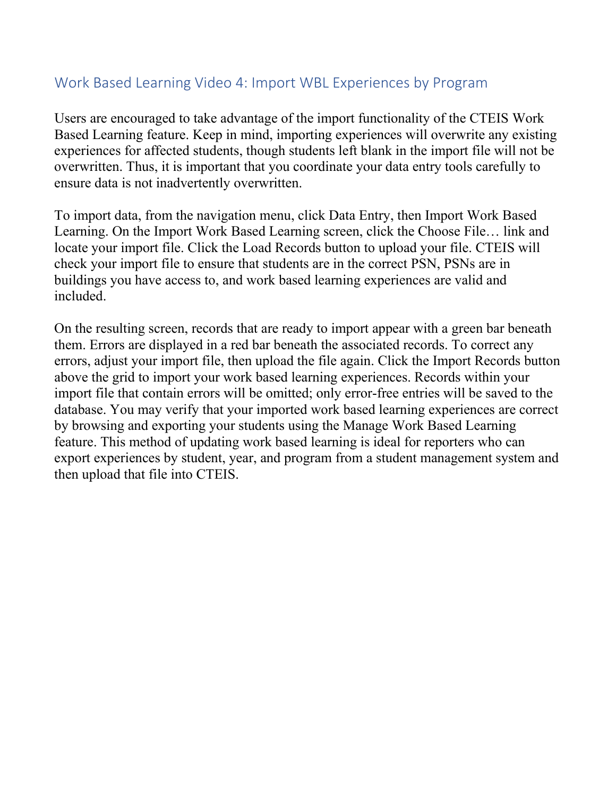### Work Based Learning Video 4: Import WBL Experiences by Program

Users are encouraged to take advantage of the import functionality of the CTEIS Work Based Learning feature. Keep in mind, importing experiences will overwrite any existing experiences for affected students, though students left blank in the import file will not be overwritten. Thus, it is important that you coordinate your data entry tools carefully to ensure data is not inadvertently overwritten.

To import data, from the navigation menu, click Data Entry, then Import Work Based Learning. On the Import Work Based Learning screen, click the Choose File… link and locate your import file. Click the Load Records button to upload your file. CTEIS will check your import file to ensure that students are in the correct PSN, PSNs are in buildings you have access to, and work based learning experiences are valid and included.

On the resulting screen, records that are ready to import appear with a green bar beneath them. Errors are displayed in a red bar beneath the associated records. To correct any errors, adjust your import file, then upload the file again. Click the Import Records button above the grid to import your work based learning experiences. Records within your import file that contain errors will be omitted; only error-free entries will be saved to the database. You may verify that your imported work based learning experiences are correct by browsing and exporting your students using the Manage Work Based Learning feature. This method of updating work based learning is ideal for reporters who can export experiences by student, year, and program from a student management system and then upload that file into CTEIS.